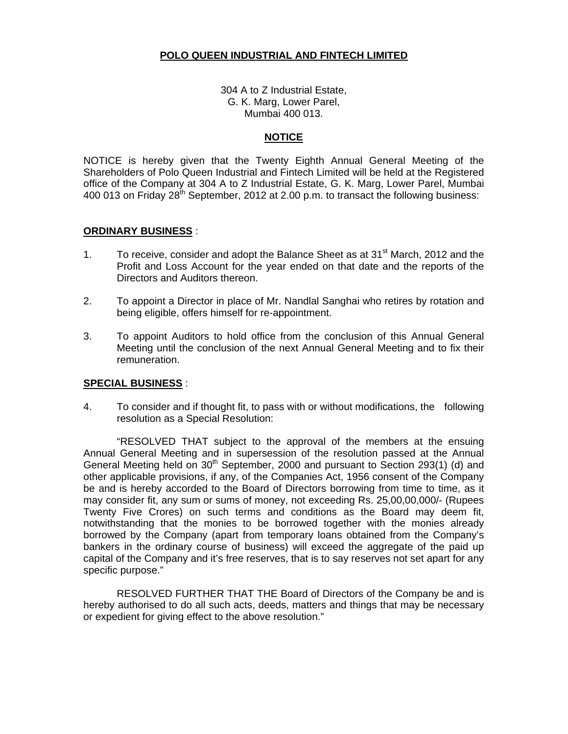# **POLO QUEEN INDUSTRIAL AND FINTECH LIMITED**

304 A to Z Industrial Estate, G. K. Marg, Lower Parel, Mumbai 400 013.

# **NOTICE**

NOTICE is hereby given that the Twenty Eighth Annual General Meeting of the Shareholders of Polo Queen Industrial and Fintech Limited will be held at the Registered office of the Company at 304 A to Z Industrial Estate, G. K. Marg, Lower Parel, Mumbai 400 013 on Friday  $28<sup>th</sup>$  September, 2012 at 2.00 p.m. to transact the following business:

# **ORDINARY BUSINESS** :

- 1. To receive, consider and adopt the Balance Sheet as at 31<sup>st</sup> March, 2012 and the Profit and Loss Account for the year ended on that date and the reports of the Directors and Auditors thereon.
- 2. To appoint a Director in place of Mr. Nandlal Sanghai who retires by rotation and being eligible, offers himself for re-appointment.
- 3. To appoint Auditors to hold office from the conclusion of this Annual General Meeting until the conclusion of the next Annual General Meeting and to fix their remuneration.

### **SPECIAL BUSINESS** :

4. To consider and if thought fit, to pass with or without modifications, the following resolution as a Special Resolution:

"RESOLVED THAT subject to the approval of the members at the ensuing Annual General Meeting and in supersession of the resolution passed at the Annual General Meeting held on  $30<sup>th</sup>$  September, 2000 and pursuant to Section 293(1) (d) and other applicable provisions, if any, of the Companies Act, 1956 consent of the Company be and is hereby accorded to the Board of Directors borrowing from time to time, as it may consider fit, any sum or sums of money, not exceeding Rs. 25,00,00,000/- (Rupees Twenty Five Crores) on such terms and conditions as the Board may deem fit, notwithstanding that the monies to be borrowed together with the monies already borrowed by the Company (apart from temporary loans obtained from the Company's bankers in the ordinary course of business) will exceed the aggregate of the paid up capital of the Company and it's free reserves, that is to say reserves not set apart for any specific purpose."

 RESOLVED FURTHER THAT THE Board of Directors of the Company be and is hereby authorised to do all such acts, deeds, matters and things that may be necessary or expedient for giving effect to the above resolution."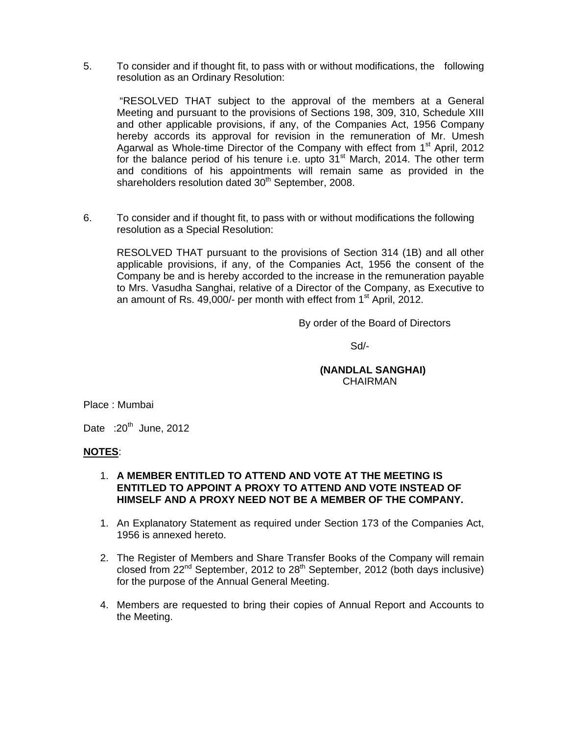5. To consider and if thought fit, to pass with or without modifications, the following resolution as an Ordinary Resolution:

 "RESOLVED THAT subject to the approval of the members at a General Meeting and pursuant to the provisions of Sections 198, 309, 310, Schedule XIII and other applicable provisions, if any, of the Companies Act, 1956 Company hereby accords its approval for revision in the remuneration of Mr. Umesh Agarwal as Whole-time Director of the Company with effect from 1<sup>st</sup> April, 2012 for the balance period of his tenure i.e. upto  $31<sup>st</sup>$  March, 2014. The other term and conditions of his appointments will remain same as provided in the shareholders resolution dated 30<sup>th</sup> September, 2008.

6. To consider and if thought fit, to pass with or without modifications the following resolution as a Special Resolution:

RESOLVED THAT pursuant to the provisions of Section 314 (1B) and all other applicable provisions, if any, of the Companies Act, 1956 the consent of the Company be and is hereby accorded to the increase in the remuneration payable to Mrs. Vasudha Sanghai, relative of a Director of the Company, as Executive to an amount of Rs. 49,000/- per month with effect from  $1<sup>st</sup>$  April, 2012.

By order of the Board of Directors

 $S$ d/- $S$ d/- $S$ 

# **(NANDLAL SANGHAI)**  CHAIRMAN

Place : Mumbai

Date  $:20^{th}$  June, 2012

### **NOTES**:

### 1. **A MEMBER ENTITLED TO ATTEND AND VOTE AT THE MEETING IS ENTITLED TO APPOINT A PROXY TO ATTEND AND VOTE INSTEAD OF HIMSELF AND A PROXY NEED NOT BE A MEMBER OF THE COMPANY.**

- 1. An Explanatory Statement as required under Section 173 of the Companies Act, 1956 is annexed hereto.
- 2. The Register of Members and Share Transfer Books of the Company will remain closed from  $22^{nd}$  September, 2012 to  $28^{th}$  September, 2012 (both days inclusive) for the purpose of the Annual General Meeting.
- 4. Members are requested to bring their copies of Annual Report and Accounts to the Meeting.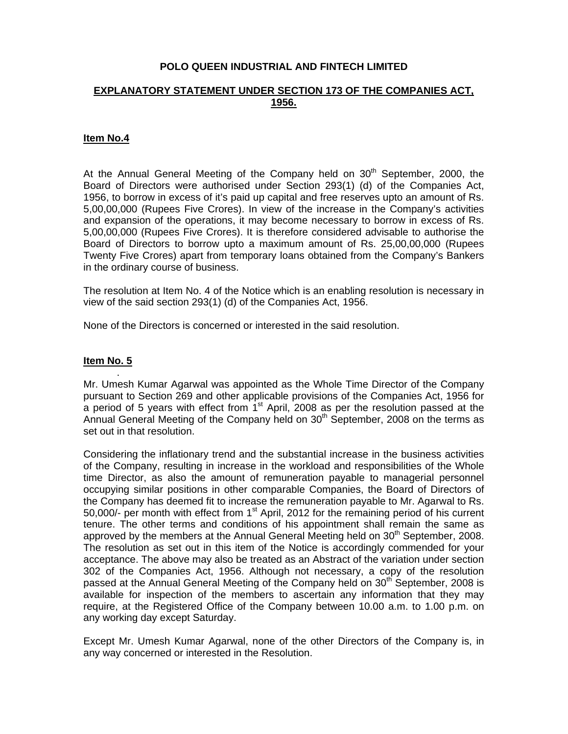# **POLO QUEEN INDUSTRIAL AND FINTECH LIMITED**

# **EXPLANATORY STATEMENT UNDER SECTION 173 OF THE COMPANIES ACT, 1956.**

### **Item No.4**

At the Annual General Meeting of the Company held on  $30<sup>th</sup>$  September, 2000, the Board of Directors were authorised under Section 293(1) (d) of the Companies Act, 1956, to borrow in excess of it's paid up capital and free reserves upto an amount of Rs. 5,00,00,000 (Rupees Five Crores). In view of the increase in the Company's activities and expansion of the operations, it may become necessary to borrow in excess of Rs. 5,00,00,000 (Rupees Five Crores). It is therefore considered advisable to authorise the Board of Directors to borrow upto a maximum amount of Rs. 25,00,00,000 (Rupees Twenty Five Crores) apart from temporary loans obtained from the Company's Bankers in the ordinary course of business.

The resolution at Item No. 4 of the Notice which is an enabling resolution is necessary in view of the said section 293(1) (d) of the Companies Act, 1956.

None of the Directors is concerned or interested in the said resolution.

### **Item No. 5**

.

Mr. Umesh Kumar Agarwal was appointed as the Whole Time Director of the Company pursuant to Section 269 and other applicable provisions of the Companies Act, 1956 for a period of 5 years with effect from  $1<sup>st</sup>$  April, 2008 as per the resolution passed at the Annual General Meeting of the Company held on  $30<sup>th</sup>$  September, 2008 on the terms as set out in that resolution.

Considering the inflationary trend and the substantial increase in the business activities of the Company, resulting in increase in the workload and responsibilities of the Whole time Director, as also the amount of remuneration payable to managerial personnel occupying similar positions in other comparable Companies, the Board of Directors of the Company has deemed fit to increase the remuneration payable to Mr. Agarwal to Rs. 50,000/- per month with effect from  $1<sup>st</sup>$  April, 2012 for the remaining period of his current tenure. The other terms and conditions of his appointment shall remain the same as approved by the members at the Annual General Meeting held on  $30<sup>th</sup>$  September, 2008. The resolution as set out in this item of the Notice is accordingly commended for your acceptance. The above may also be treated as an Abstract of the variation under section 302 of the Companies Act, 1956. Although not necessary, a copy of the resolution passed at the Annual General Meeting of the Company held on 30<sup>th</sup> September, 2008 is available for inspection of the members to ascertain any information that they may require, at the Registered Office of the Company between 10.00 a.m. to 1.00 p.m. on any working day except Saturday.

Except Mr. Umesh Kumar Agarwal, none of the other Directors of the Company is, in any way concerned or interested in the Resolution.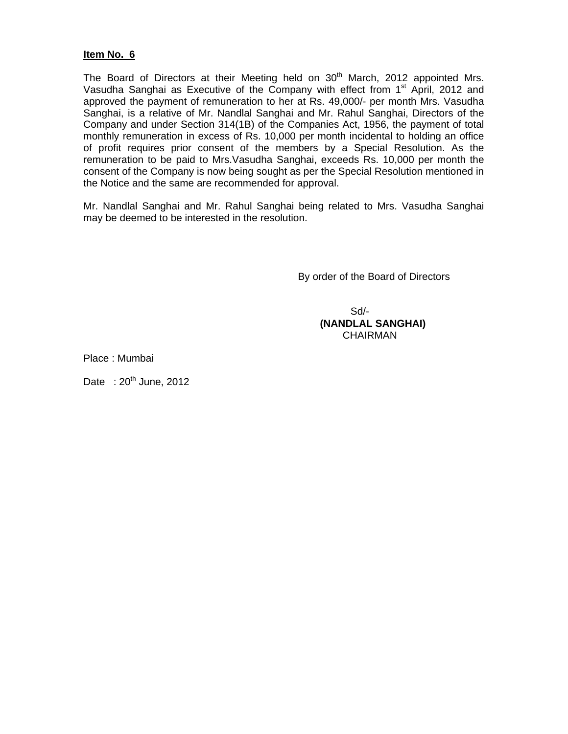# **Item No. 6**

The Board of Directors at their Meeting held on  $30<sup>th</sup>$  March, 2012 appointed Mrs. Vasudha Sanghai as Executive of the Company with effect from 1<sup>st</sup> April, 2012 and approved the payment of remuneration to her at Rs. 49,000/- per month Mrs. Vasudha Sanghai, is a relative of Mr. Nandlal Sanghai and Mr. Rahul Sanghai, Directors of the Company and under Section 314(1B) of the Companies Act, 1956, the payment of total monthly remuneration in excess of Rs. 10,000 per month incidental to holding an office of profit requires prior consent of the members by a Special Resolution. As the remuneration to be paid to Mrs.Vasudha Sanghai, exceeds Rs. 10,000 per month the consent of the Company is now being sought as per the Special Resolution mentioned in the Notice and the same are recommended for approval.

Mr. Nandlal Sanghai and Mr. Rahul Sanghai being related to Mrs. Vasudha Sanghai may be deemed to be interested in the resolution.

By order of the Board of Directors

 Sd/- **(NANDLAL SANGHAI) CHAIRMAN** 

Place : Mumbai

Date :  $20^{th}$  June, 2012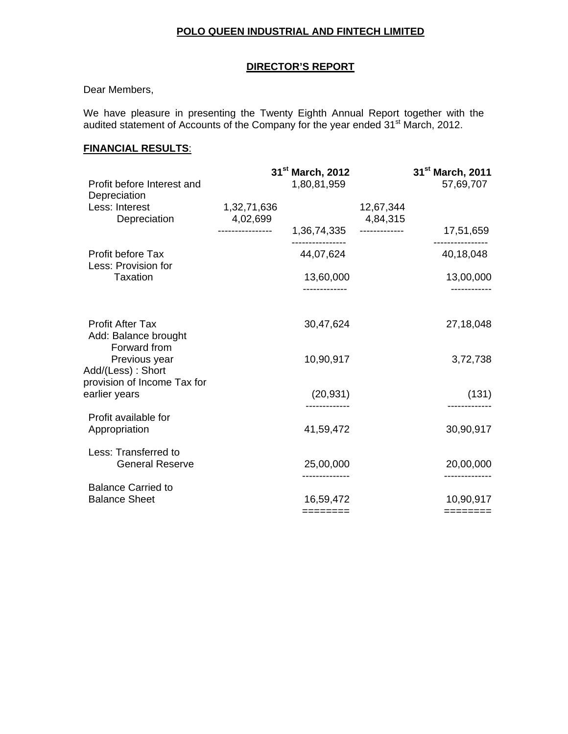# **POLO QUEEN INDUSTRIAL AND FINTECH LIMITED**

# **DIRECTOR'S REPORT**

# Dear Members,

We have pleasure in presenting the Twenty Eighth Annual Report together with the audited statement of Accounts of the Company for the year ended 31<sup>st</sup> March, 2012.

# **FINANCIAL RESULTS**:

| Profit before Interest and                                                        | 31 <sup>st</sup> March, 2012<br>1,80,81,959 |             |                       | 31 <sup>st</sup> March, 2011<br>57,69,707 |
|-----------------------------------------------------------------------------------|---------------------------------------------|-------------|-----------------------|-------------------------------------------|
| Depreciation                                                                      |                                             |             |                       |                                           |
| Less: Interest<br>Depreciation                                                    | 1,32,71,636<br>4,02,699                     |             | 12,67,344<br>4,84,315 |                                           |
|                                                                                   | ----------------                            | 1,36,74,335 | -------------         | 17,51,659                                 |
| Profit before Tax<br>Less: Provision for                                          |                                             | 44,07,624   |                       | 40,18,048                                 |
| Taxation                                                                          |                                             | 13,60,000   |                       | 13,00,000                                 |
| <b>Profit After Tax</b><br>Add: Balance brought                                   |                                             | 30,47,624   |                       | 27,18,048                                 |
| Forward from<br>Previous year<br>Add/(Less): Short<br>provision of Income Tax for |                                             | 10,90,917   |                       | 3,72,738                                  |
| earlier years                                                                     |                                             | (20, 931)   |                       | (131)                                     |
| Profit available for<br>Appropriation                                             |                                             | 41,59,472   |                       | 30,90,917                                 |
| Less: Transferred to<br><b>General Reserve</b>                                    |                                             | 25,00,000   |                       | 20,00,000                                 |
| <b>Balance Carried to</b><br><b>Balance Sheet</b>                                 |                                             | 16,59,472   |                       | 10,90,917                                 |
|                                                                                   |                                             | ========    |                       | ========                                  |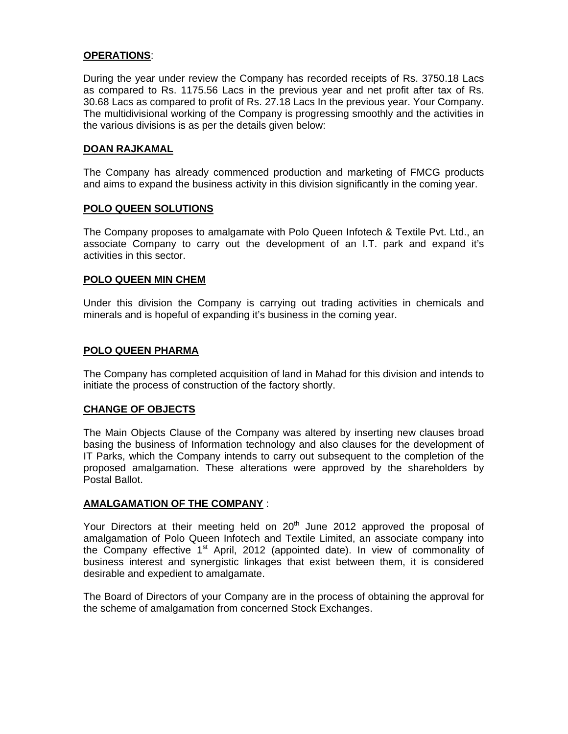# **OPERATIONS**:

During the year under review the Company has recorded receipts of Rs. 3750.18 Lacs as compared to Rs. 1175.56 Lacs in the previous year and net profit after tax of Rs. 30.68 Lacs as compared to profit of Rs. 27.18 Lacs In the previous year. Your Company. The multidivisional working of the Company is progressing smoothly and the activities in the various divisions is as per the details given below:

# **DOAN RAJKAMAL**

The Company has already commenced production and marketing of FMCG products and aims to expand the business activity in this division significantly in the coming year.

# **POLO QUEEN SOLUTIONS**

The Company proposes to amalgamate with Polo Queen Infotech & Textile Pvt. Ltd., an associate Company to carry out the development of an I.T. park and expand it's activities in this sector.

### **POLO QUEEN MIN CHEM**

Under this division the Company is carrying out trading activities in chemicals and minerals and is hopeful of expanding it's business in the coming year.

# **POLO QUEEN PHARMA**

The Company has completed acquisition of land in Mahad for this division and intends to initiate the process of construction of the factory shortly.

### **CHANGE OF OBJECTS**

The Main Objects Clause of the Company was altered by inserting new clauses broad basing the business of Information technology and also clauses for the development of IT Parks, which the Company intends to carry out subsequent to the completion of the proposed amalgamation. These alterations were approved by the shareholders by Postal Ballot.

### **AMALGAMATION OF THE COMPANY** :

Your Directors at their meeting held on  $20<sup>th</sup>$  June 2012 approved the proposal of amalgamation of Polo Queen Infotech and Textile Limited, an associate company into the Company effective  $1<sup>st</sup>$  April, 2012 (appointed date). In view of commonality of business interest and synergistic linkages that exist between them, it is considered desirable and expedient to amalgamate.

The Board of Directors of your Company are in the process of obtaining the approval for the scheme of amalgamation from concerned Stock Exchanges.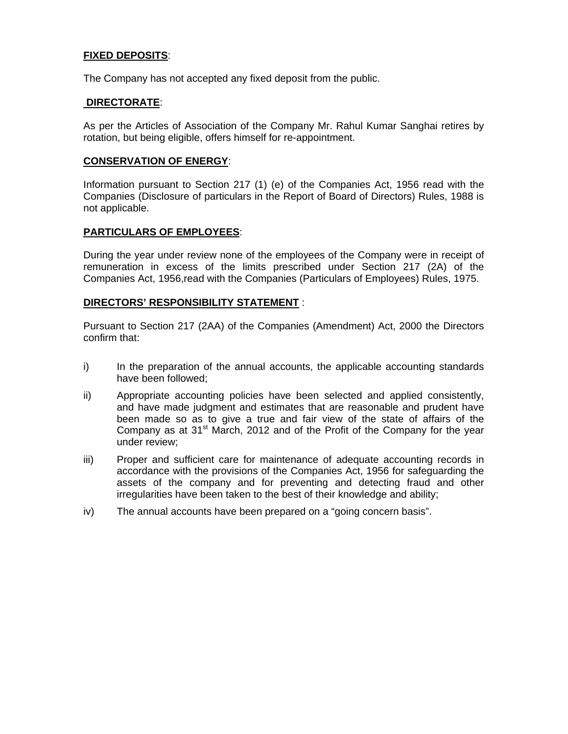# **FIXED DEPOSITS**:

The Company has not accepted any fixed deposit from the public.

# **DIRECTORATE**:

As per the Articles of Association of the Company Mr. Rahul Kumar Sanghai retires by rotation, but being eligible, offers himself for re-appointment.

# **CONSERVATION OF ENERGY**:

Information pursuant to Section 217 (1) (e) of the Companies Act, 1956 read with the Companies (Disclosure of particulars in the Report of Board of Directors) Rules, 1988 is not applicable.

# **PARTICULARS OF EMPLOYEES**:

During the year under review none of the employees of the Company were in receipt of remuneration in excess of the limits prescribed under Section 217 (2A) of the Companies Act, 1956,read with the Companies (Particulars of Employees) Rules, 1975.

# **DIRECTORS' RESPONSIBILITY STATEMENT** :

Pursuant to Section 217 (2AA) of the Companies (Amendment) Act, 2000 the Directors confirm that:

- i) In the preparation of the annual accounts, the applicable accounting standards have been followed;
- ii) Appropriate accounting policies have been selected and applied consistently, and have made judgment and estimates that are reasonable and prudent have been made so as to give a true and fair view of the state of affairs of the Company as at  $31<sup>st</sup>$  March, 2012 and of the Profit of the Company for the year under review;
- iii) Proper and sufficient care for maintenance of adequate accounting records in accordance with the provisions of the Companies Act, 1956 for safeguarding the assets of the company and for preventing and detecting fraud and other irregularities have been taken to the best of their knowledge and ability;
- iv) The annual accounts have been prepared on a "going concern basis".